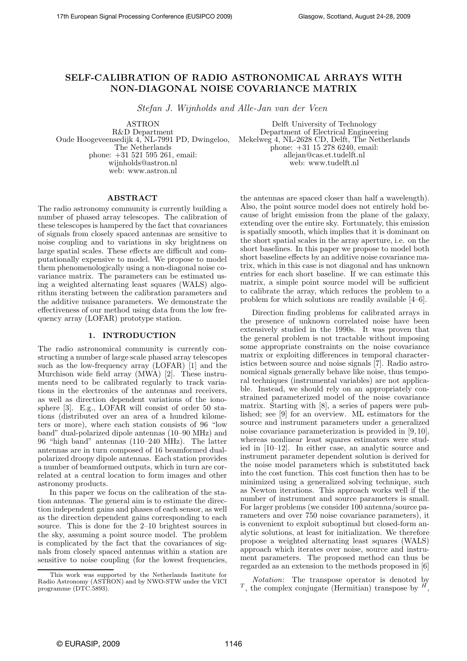# SELF-CALIBRATION OF RADIO ASTRONOMICAL ARRAYS WITH NON-DIAGONAL NOISE COVARIANCE MATRIX

Stefan J. Wijnholds and Alle-Jan van der Veen

ASTRON R&D Department Oude Hoogeveensedijk 4, NL-7991 PD, Dwingeloo, The Netherlands phone: +31 521 595 261, email: wijnholds@astron.nl web: www.astron.nl

Delft University of Technology Department of Electrical Engineering Mekelweg 4, NL-2628 CD, Delft, The Netherlands phone: +31 15 278 6240, email: allejan@cas.et.tudelft.nl web: www.tudelft.nl

# ABSTRACT

The radio astronomy community is currently building a number of phased array telescopes. The calibration of these telescopes is hampered by the fact that covariances of signals from closely spaced antennas are sensitive to noise coupling and to variations in sky brightness on large spatial scales. These effects are difficult and computationally expensive to model. We propose to model them phenomenologically using a non-diagonal noise covariance matrix. The parameters can be estimated using a weighted alternating least squares (WALS) algorithm iterating between the calibration parameters and the additive nuisance parameters. We demonstrate the effectiveness of our method using data from the low frequency array (LOFAR) prototype station.

#### 1. INTRODUCTION

The radio astronomical community is currently constructing a number of large scale phased array telescopes such as the low-frequency array (LOFAR) [1] and the Murchison wide field array (MWA) [2]. These instruments need to be calibrated regularly to track variations in the electronics of the antennas and receivers, as well as direction dependent variations of the ionosphere [3]. E.g., LOFAR will consist of order 50 stations (distributed over an area of a hundred kilometers or more), where each station consists of 96 "low band" dual-polarized dipole antennas (10–90 MHz) and 96 "high band" antennas (110–240 MHz). The latter antennas are in turn composed of 16 beamformed dualpolarized droopy dipole antennas. Each station provides a number of beamformed outputs, which in turn are correlated at a central location to form images and other astronomy products.

In this paper we focus on the calibration of the station antennas. The general aim is to estimate the direction independent gains and phases of each sensor, as well as the direction dependent gains corresponding to each source. This is done for the 2–10 brightest sources in the sky, assuming a point source model. The problem is complicated by the fact that the covariances of signals from closely spaced antennas within a station are sensitive to noise coupling (for the lowest frequencies,

the antennas are spaced closer than half a wavelength). Also, the point source model does not entirely hold because of bright emission from the plane of the galaxy, extending over the entire sky. Fortunately, this emission is spatially smooth, which implies that it is dominant on the short spatial scales in the array aperture, i.e. on the short baselines. In this paper we propose to model both short baseline effects by an additive noise covariance matrix, which in this case is not diagonal and has unknown entries for each short baseline. If we can estimate this matrix, a simple point source model will be sufficient to calibrate the array, which reduces the problem to a problem for which solutions are readily available [4–6].

Direction finding problems for calibrated arrays in the presence of unknown correlated noise have been extensively studied in the 1990s. It was proven that the general problem is not tractable without imposing some appropriate constraints on the noise covariance matrix or exploiting differences in temporal characteristics between source and noise signals [7]. Radio astronomical signals generally behave like noise, thus temporal techniques (instrumental variables) are not applicable. Instead, we should rely on an appropriately constrained parameterized model of the noise covariance matrix. Starting with [8], a series of papers were published; see [9] for an overview. ML estimators for the source and instrument parameters under a generalized noise covariance parameterization is provided in [9, 10], whereas nonlinear least squares estimators were studied in [10–12]. In either case, an analytic source and instrument parameter dependent solution is derived for the noise model parameters which is substituted back into the cost function. This cost function then has to be minimized using a generalized solving technique, such as Newton iterations. This approach works well if the number of instrument and source parameters is small. For larger problems (we consider 100 antenna/source parameters and over 750 noise covariance parameters), it is convenient to exploit suboptimal but closed-form analytic solutions, at least for initialization. We therefore propose a weighted alternating least squares (WALS) approach which iterates over noise, source and instrument parameters. The proposed method can thus be regarded as an extension to the methods proposed in [6]

Notation: The transpose operator is denoted by  $T$ , the complex conjugate (Hermitian) transpose by  $^H$ ,

This work was supported by the Netherlands Institute for Radio Astronomy (ASTRON) and by NWO-STW under the VICI programme (DTC.5893).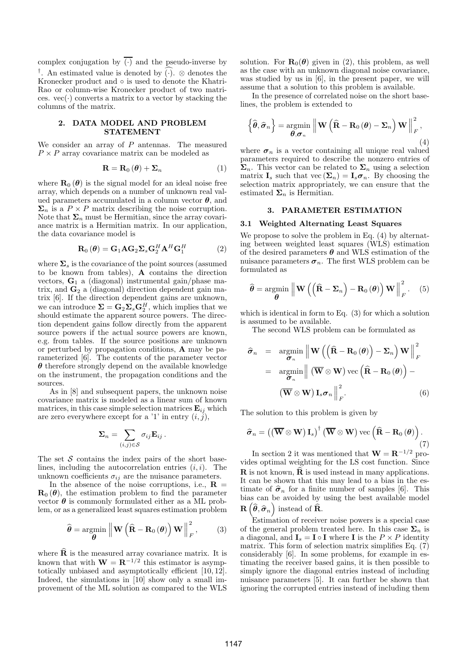complex conjugation by  $\overline{(\cdot)}$  and the pseudo-inverse by †. An estimated value is denoted by  $(·)$ . ⊗ denotes the Kronecker product and ◦ is used to denote the Khatri-Rao or column-wise Kronecker product of two matrices.  $vec(\cdot)$  converts a matrix to a vector by stacking the columns of the matrix.

# 2. DATA MODEL AND PROBLEM STATEMENT

We consider an array of  $P$  antennas. The measured  $P \times P$  array covariance matrix can be modeled as

$$
\mathbf{R} = \mathbf{R}_0 \left( \boldsymbol{\theta} \right) + \boldsymbol{\Sigma}_n \tag{1}
$$

where  $\mathbf{R}_{0}(\boldsymbol{\theta})$  is the signal model for an ideal noise free array, which depends on a number of unknown real valued parameters accumulated in a column vector  $\theta$ , and  $\Sigma_n$  is a  $P \times P$  matrix describing the noise corruption. Note that  $\Sigma_n$  must be Hermitian, since the array covariance matrix is a Hermitian matrix. In our application, the data covariance model is

$$
\mathbf{R}_0\left(\boldsymbol{\theta}\right) = \mathbf{G}_1 \mathbf{A} \mathbf{G}_2 \mathbf{\Sigma}_s \mathbf{G}_2^H \mathbf{A}^H \mathbf{G}_1^H \tag{2}
$$

where  $\Sigma_s$  is the covariance of the point sources (assumed to be known from tables), A contains the direction vectors,  $G_1$  a (diagonal) instrumental gain/phase matrix, and  $G_2$  a (diagonal) direction dependent gain matrix [6]. If the direction dependent gains are unknown, we can introduce  $\Sigma = \mathbf{G}_2 \Sigma_s \mathbf{G}_2^H$ , which implies that we should estimate the apparent source powers. The direction dependent gains follow directly from the apparent source powers if the actual source powers are known, e.g. from tables. If the source positions are unknown or perturbed by propagation conditions, A may be parameterized [6]. The contents of the parameter vector  $\theta$  therefore strongly depend on the available knowledge on the instrument, the propagation conditions and the sources.

As in [8] and subsequent papers, the unknown noise covariance matrix is modeled as a linear sum of known matrices, in this case simple selection matrices  $\mathbf{E}_{ij}$  which are zero everywhere except for a '1' in entry  $(i, j)$ ,

$$
\mathbf{\Sigma}_n = \sum_{(i,j) \in \mathcal{S}} \sigma_{ij} \mathbf{E}_{ij} \,.
$$

The set  $S$  contains the index pairs of the short baselines, including the autocorrelation entries  $(i, i)$ . The unknown coefficients  $\sigma_{ij}$  are the nuisance parameters.

In the absence of the noise corruptions, i.e.,  $\mathbf{R} =$  $\mathbf{R}_{0}(\boldsymbol{\theta})$ , the estimation problem to find the parameter vector  $\theta$  is commonly formulated either as a ML problem, or as a generalized least squares estimation problem

$$
\widehat{\boldsymbol{\theta}} = \underset{\boldsymbol{\theta}}{\text{argmin}} \left\| \mathbf{W} \left( \widehat{\mathbf{R}} - \mathbf{R}_0 \left( \boldsymbol{\theta} \right) \right) \mathbf{W} \right\|_F^2, \qquad (3)
$$

where  $\hat{\mathbf{R}}$  is the measured array covariance matrix. It is known that with  $\mathbf{W} = \mathbf{R}^{-1/2}$  this estimator is asymptotically unbiased and asymptotically efficient [10, 12]. Indeed, the simulations in [10] show only a small improvement of the ML solution as compared to the WLS

solution. For  $\mathbf{R}_{0}(\boldsymbol{\theta})$  given in (2), this problem, as well as the case with an unknown diagonal noise covariance, was studied by us in [6], in the present paper, we will assume that a solution to this problem is available.

In the presence of correlated noise on the short baselines, the problem is extended to

$$
\left\{\widehat{\boldsymbol{\theta}},\widehat{\boldsymbol{\sigma}}_n\right\} = \underset{\boldsymbol{\theta},\boldsymbol{\sigma}_n}{\operatorname{argmin}} \left\| \mathbf{W}\left(\widehat{\mathbf{R}} - \mathbf{R}_0\left(\boldsymbol{\theta}\right) - \boldsymbol{\Sigma}_n\right) \mathbf{W} \right\|_F^2, \tag{4}
$$

where  $\sigma_n$  is a vector containing all unique real valued parameters required to describe the nonzero entries of  $\Sigma_n$ . This vector can be related to  $\Sigma_n$  using a selection matrix  $\mathbf{I}_s$  such that vec  $(\mathbf{\Sigma}_n) = \mathbf{I}_s \boldsymbol{\sigma}_n$ . By choosing the selection matrix appropriately, we can ensure that the estimated  $\Sigma_n$  is Hermitian.

## 3. PARAMETER ESTIMATION

## 3.1 Weighted Alternating Least Squares

We propose to solve the problem in Eq.  $(4)$  by alternating between weighted least squares (WLS) estimation of the desired parameters  $\boldsymbol{\theta}$  and WLS estimation of the nuisance parameters  $\sigma_n$ . The first WLS problem can be formulated as

$$
\widehat{\boldsymbol{\theta}} = \underset{\boldsymbol{\theta}}{\text{argmin}} \left\| \mathbf{W} \left( \left( \widehat{\mathbf{R}} - \boldsymbol{\Sigma}_n \right) - \mathbf{R}_0 \left( \boldsymbol{\theta} \right) \right) \mathbf{W} \right\|_F^2. \quad (5)
$$

which is identical in form to Eq. (3) for which a solution is assumed to be available.

The second WLS problem can be formulated as

$$
\hat{\sigma}_{n} = \underset{\sigma_{n}}{\operatorname{argmin}} \left\| \mathbf{W} \left( \left( \widehat{\mathbf{R}} - \mathbf{R}_{0} \left( \boldsymbol{\theta} \right) \right) - \boldsymbol{\Sigma}_{n} \right) \mathbf{W} \right\|_{F}^{2}
$$
\n
$$
= \underset{\sigma_{n}}{\operatorname{argmin}} \left\| \left( \overline{\mathbf{W}} \otimes \mathbf{W} \right) \text{vec} \left( \widehat{\mathbf{R}} - \mathbf{R}_{0} \left( \boldsymbol{\theta} \right) \right) - \left( \overline{\mathbf{W}} \otimes \mathbf{W} \right) \mathbf{I}_{s} \sigma_{n} \right\|_{F}^{2}.
$$
\n(6)

The solution to this problem is given by

$$
\widehat{\boldsymbol{\sigma}}_n = \left( \left( \overline{\mathbf{W}} \otimes \mathbf{W} \right) \mathbf{I}_s \right)^{\dagger} \left( \overline{\mathbf{W}} \otimes \mathbf{W} \right) \text{vec} \left( \widehat{\mathbf{R}} - \mathbf{R}_0 \left( \boldsymbol{\theta} \right) \right). \tag{7}
$$

In section 2 it was mentioned that  $\mathbf{W} = \mathbf{R}^{-1/2}$  provides optimal weighting for the LS cost function. Since  $\bf{R}$  is not known,  $\bf{\hat{R}}$  is used instead in many applications. It can be shown that this may lead to a bias in the estimate of  $\hat{\sigma}_n$  for a finite number of samples [6]. This bias can be avoided by using the best available model  $\mathbf{R}\left(\widehat{\boldsymbol{\theta}},\widehat{\boldsymbol{\sigma}}_n\right)$  instead of  $\mathbf{\widehat{R}}$ .

Estimation of receiver noise powers is a special case of the general problem treated here. In this case  $\Sigma_n$  is a diagonal, and  $I_s = I \circ I$  where I is the  $P \times P$  identity matrix. This form of selection matrix simplifies Eq. (7) considerably [6]. In some problems, for example in estimating the receiver based gains, it is then possible to simply ignore the diagonal entries instead of including nuisance parameters [5]. It can further be shown that ignoring the corrupted entries instead of including them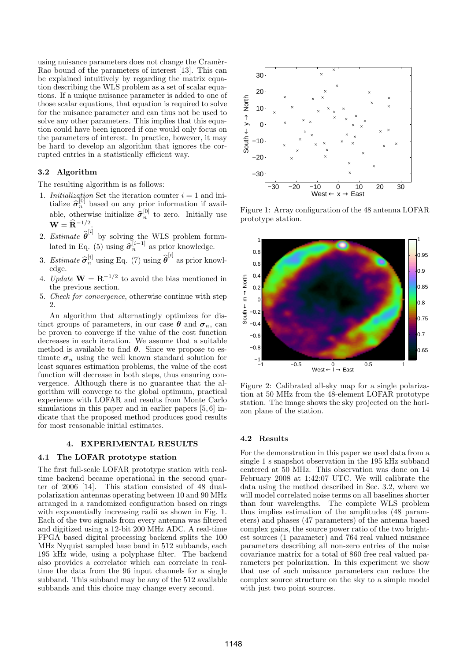using nuisance parameters does not change the Cramer-Rao bound of the parameters of interest [13]. This can be explained intuitively by regarding the matrix equation describing the WLS problem as a set of scalar equations. If a unique nuisance parameter is added to one of those scalar equations, that equation is required to solve for the nuisance parameter and can thus not be used to solve any other parameters. This implies that this equation could have been ignored if one would only focus on the parameters of interest. In practice, however, it may be hard to develop an algorithm that ignores the corrupted entries in a statistically efficient way.

### 3.2 Algorithm

The resulting algorithm is as follows:

- 1. Initialization Set the iteration counter  $i = 1$  and initialize  $\hat{\sigma}_n^{[0]}$  based on any prior information if available, otherwise initialize  $\hat{\sigma}_n^{[0]}$  to zero. Initially use  $\mathbf{W} = \widehat{\mathbf{R}}^{-1/2}.$
- 2. Estimate  $\hat{\boldsymbol{\theta}}^{[i]}$  by solving the WLS problem formulated in Eq. (5) using  $\hat{\sigma}_n^{[i-1]}$  as prior knowledge.
- 3. Estimate  $\hat{\sigma}_n^{[i]}$  using Eq. (7) using  $\hat{\theta}^{[i]}$  as prior knowledge.
- 4. Update  $\mathbf{W} = \mathbf{R}^{-1/2}$  to avoid the bias mentioned in the previous section.
- 5. Check for convergence, otherwise continue with step  $\mathcal{D}$

An algorithm that alternatingly optimizes for distinct groups of parameters, in our case  $\boldsymbol{\theta}$  and  $\boldsymbol{\sigma}_n$ , can be proven to converge if the value of the cost function decreases in each iteration. We assume that a suitable method is available to find  $\theta$ . Since we propose to estimate  $\sigma_n$  using the well known standard solution for least squares estimation problems, the value of the cost function will decrease in both steps, thus ensuring convergence. Although there is no guarantee that the algorithm will converge to the global optimum, practical experience with LOFAR and results from Monte Carlo simulations in this paper and in earlier papers [5, 6] indicate that the proposed method produces good results for most reasonable initial estimates.

## 4. EXPERIMENTAL RESULTS

#### 4.1 The LOFAR prototype station

The first full-scale LOFAR prototype station with realtime backend became operational in the second quarter of 2006 [14]. This station consisted of 48 dualpolarization antennas operating between 10 and 90 MHz arranged in a randomized configuration based on rings with exponentially increasing radii as shown in Fig. 1. Each of the two signals from every antenna was filtered and digitized using a 12-bit 200 MHz ADC. A real-time FPGA based digital processing backend splits the 100 MHz Nyquist sampled base band in 512 subbands, each 195 kHz wide, using a polyphase filter. The backend also provides a correlator which can correlate in realtime the data from the 96 input channels for a single subband. This subband may be any of the 512 available subbands and this choice may change every second.



Figure 1: Array configuration of the 48 antenna LOFAR prototype station.



Figure 2: Calibrated all-sky map for a single polarization at 50 MHz from the 48-element LOFAR prototype station. The image shows the sky projected on the horizon plane of the station.

# 4.2 Results

For the demonstration in this paper we used data from a single 1 s snapshot observation in the 195 kHz subband centered at 50 MHz. This observation was done on 14 February 2008 at 1:42:07 UTC. We will calibrate the data using the method described in Sec. 3.2, where we will model correlated noise terms on all baselines shorter than four wavelengths. The complete WLS problem thus implies estimation of the amplitudes (48 parameters) and phases (47 parameters) of the antenna based complex gains, the source power ratio of the two brightest sources (1 parameter) and 764 real valued nuisance parameters describing all non-zero entries of the noise covariance matrix for a total of 860 free real valued parameters per polarization. In this experiment we show that use of such nuisance parameters can reduce the complex source structure on the sky to a simple model with just two point sources.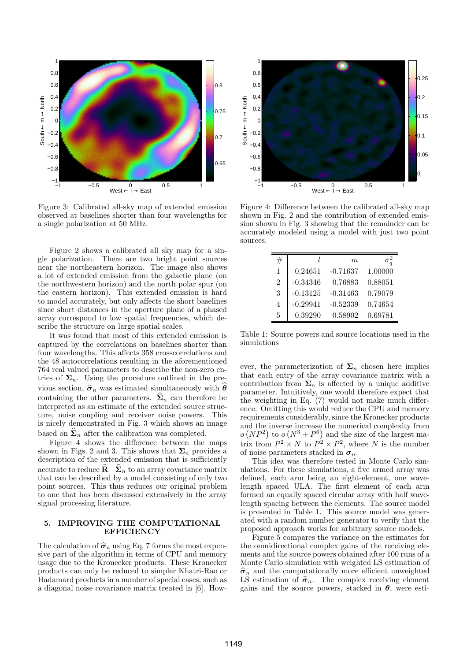

Figure 3: Calibrated all-sky map of extended emission observed at baselines shorter than four wavelengths for a single polarization at 50 MHz.

Figure 2 shows a calibrated all sky map for a single polarization. There are two bright point sources near the northeastern horizon. The image also shows a lot of extended emission from the galactic plane (on the northwestern horizon) and the north polar spur (on the eastern horizon). This extended emission is hard to model accurately, but only affects the short baselines since short distances in the aperture plane of a phased array correspond to low spatial frequencies, which describe the structure on large spatial scales.

It was found that most of this extended emission is captured by the correlations on baselines shorter than four wavelengths. This affects 358 crosscorrelations and the 48 autocorrelations resulting in the aforementioned 764 real valued parameters to describe the non-zero entries of  $\Sigma_n$ . Using the procedure outlined in the previous section,  $\hat{\sigma}_n$  was estimated simultaneously with  $\theta$ containing the other parameters.  $\hat{\Sigma}_n$  can therefore be interpreted as an estimate of the extended source structure, noise coupling and receiver noise powers. This is nicely demonstrated in Fig. 3 which shows an image based on  $\Sigma_n$  after the calibration was completed.

Figure 4 shows the difference between the maps shown in Figs. 2 and 3. This shows that  $\Sigma_n$  provides a description of the extended emission that is sufficiently accurate to reduce  $\widehat{\mathbf{R}} - \widehat{\boldsymbol{\Sigma}}_n$  to an array covariance matrix that can be described by a model consisting of only two point sources. This thus reduces our original problem to one that has been discussed extensively in the array signal processing literature.

# 5. IMPROVING THE COMPUTATIONAL **EFFICIENCY**

The calculation of  $\hat{\sigma}_n$  using Eq. 7 forms the most expensive part of the algorithm in terms of CPU and memory usage due to the Kronecker products. These Kronecker products can only be reduced to simpler Khatri-Rao or Hadamard products in a number of special cases, such as a diagonal noise covariance matrix treated in [6]. How-



Figure 4: Difference between the calibrated all-sky map shown in Fig. 2 and the contribution of extended emission shown in Fig. 3 showing that the remainder can be accurately modeled using a model with just two point sources.

|                |            | m.         |         |
|----------------|------------|------------|---------|
| 1              | 0.24651    | $-0.71637$ | 1.00000 |
| $\overline{2}$ | $-0.34346$ | 0.76883    | 0.88051 |
| 3              | $-0.13125$ | $-0.31463$ | 0.79079 |
| 4              | $-0.29941$ | $-0.52339$ | 0.74654 |
| 5              | 0.39290    | 0.58902    | 0.69781 |

Table 1: Source powers and source locations used in the simulations

ever, the parameterization of  $\Sigma_n$  chosen here implies that each entry of the array covariance matrix with a contribution from  $\Sigma_n$  is affected by a unique additive parameter. Intuitively, one would therefore expect that the weighting in Eq. (7) would not make much difference. Omitting this would reduce the CPU and memory requirements considerably, since the Kronecker products and the inverse increase the numerical complexity from  $o(NP<sup>2</sup>)$  to  $o(N<sup>3</sup>+P<sup>6</sup>)$  and the size of the largest matrix from  $P^2 \times N$  to  $P^2 \times P^2$ , where N is the number of noise parameters stacked in  $\sigma_n$ .

This idea was therefore tested in Monte Carlo simulations. For these simulations, a five armed array was defined, each arm being an eight-element, one wavelength spaced ULA. The first element of each arm formed an equally spaced circular array with half wavelength spacing between the elements. The source model is presented in Table 1. This source model was generated with a random number generator to verify that the proposed approach works for arbitrary source models.

Figure 5 compares the variance on the estimates for the omnidirectional complex gains of the receiving elements and the source powers obtained after 100 runs of a Monte Carlo simulation with weighted LS estimation of  $\hat{\sigma}_n$  and the computationally more efficient unweighted LS estimation of  $\hat{\sigma}_n$ . The complex receiving element gains and the source powers, stacked in  $\theta$ , were esti-